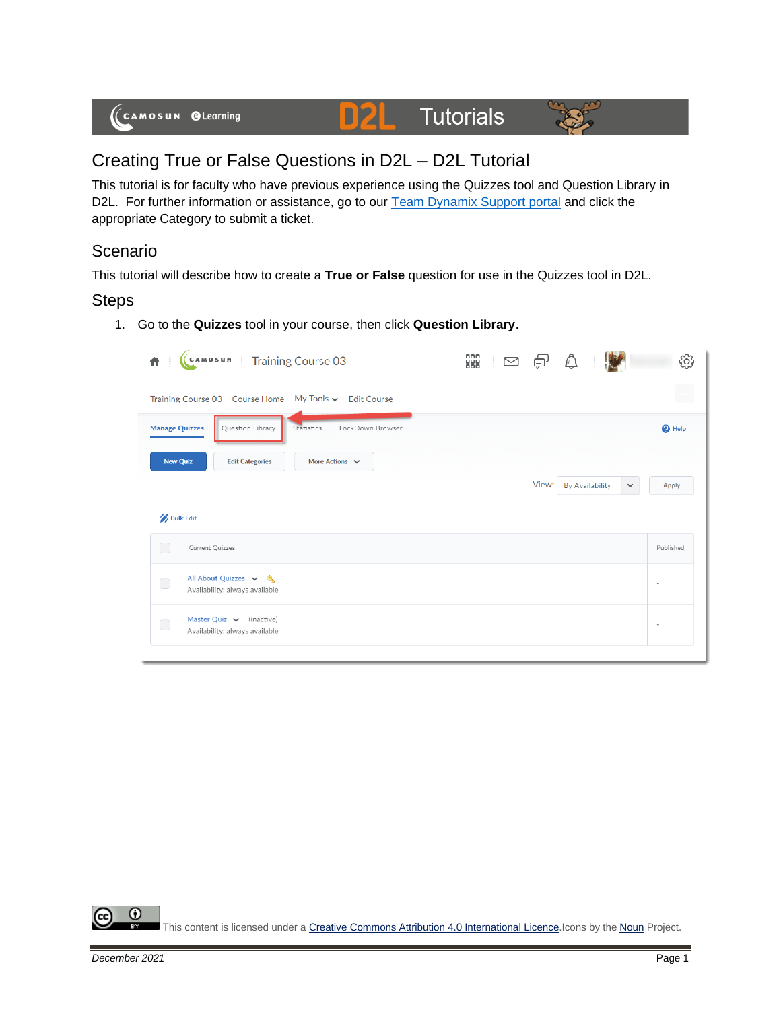

## Creating True or False Questions in D2L – D2L Tutorial

This tutorial is for faculty who have previous experience using the Quizzes tool and Question Library in D2L. For further information or assistance, go to our **Team Dynamix Support portal** and click the appropriate Category to submit a ticket.

## **Scenario**

This tutorial will describe how to create a **True or False** question for use in the Quizzes tool in D2L.

## Steps

1. Go to the **Quizzes** tool in your course, then click **Question Library**.

|                                                       | CAMOSUN   Training Course 03                                    | 器 ⊠ 包 |       | $\mathbb{Q}$           |                              |  |  |  |
|-------------------------------------------------------|-----------------------------------------------------------------|-------|-------|------------------------|------------------------------|--|--|--|
| Training Course 03 Course Home My Tools v Edit Course |                                                                 |       |       |                        |                              |  |  |  |
| <b>Manage Quizzes</b>                                 | LockDown Browser<br>Question Library<br>Statistics              |       |       |                        | <sup>O</sup> Help            |  |  |  |
| <b>New Quiz</b>                                       | More Actions $\vee$<br><b>Edit Categories</b>                   |       |       |                        |                              |  |  |  |
|                                                       |                                                                 |       | View: | <b>By Availability</b> | <b>Apply</b><br>$\checkmark$ |  |  |  |
|                                                       | <b>Bulk Edit</b>                                                |       |       |                        |                              |  |  |  |
| $\Box$                                                | Current Quizzes                                                 |       |       |                        | Published                    |  |  |  |
| $\bigcirc$                                            | All About Quizzes v &<br>Availability: always available         |       |       |                        | $\sim$                       |  |  |  |
| $\bigcirc$                                            | Master Quiz $\vee$ (inactive)<br>Availability: always available |       |       |                        |                              |  |  |  |
|                                                       |                                                                 |       |       |                        |                              |  |  |  |

⋒ This content is licensed under [a Creative Commons Attribution 4.0 International Licence.I](https://creativecommons.org/licenses/by/4.0/)cons by the [Noun](https://creativecommons.org/website-icons/) Project.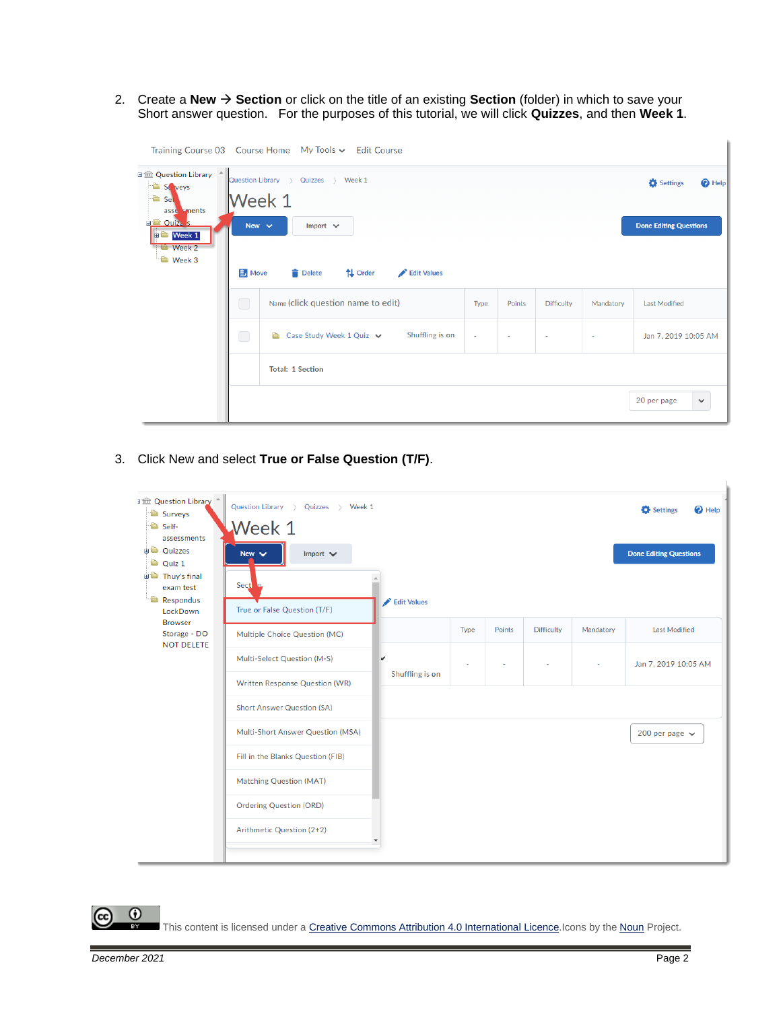2. Create a **New** → **Section** or click on the title of an existing **Section** (folder) in which to save your Short answer question. For the purposes of this tutorial, we will click **Quizzes**, and then **Week 1**.

| Training Course 03    Course Home    My Tools v    Edit Course                                                                           |            |                                                                   |        |        |                   |                          |                                                                |
|------------------------------------------------------------------------------------------------------------------------------------------|------------|-------------------------------------------------------------------|--------|--------|-------------------|--------------------------|----------------------------------------------------------------|
| 日金 Question Library ^<br>St veys<br><b>D</b> Sel<br>asse sments<br><b>EL Ouiz</b> s<br><b>D</b> Week 1<br><b>Week 2</b><br><b>Week 3</b> | New $\sim$ | Quizzes > Week 1<br>Question Library ><br>Week 1<br>Import $\vee$ |        |        |                   |                          | Settings<br><sup>O</sup> Help<br><b>Done Editing Questions</b> |
|                                                                                                                                          |            | $\exists$ Move<br><b>Delete</b><br>↑↓ Order<br>Edit Values        |        |        |                   |                          |                                                                |
|                                                                                                                                          | $\bigcirc$ | Name (click question name to edit)                                | Type   | Points | <b>Difficulty</b> | Mandatory                | <b>Last Modified</b>                                           |
|                                                                                                                                          | $\bigcirc$ | Shuffling is on<br>Case Study Week 1 Quiz $\vee$<br>Ò             | $\sim$ |        | $\overline{a}$    | $\overline{\phantom{a}}$ | Jan 7, 2019 10:05 AM                                           |
|                                                                                                                                          |            | <b>Total: 1 Section</b>                                           |        |        |                   |                          |                                                                |
|                                                                                                                                          |            |                                                                   |        |        |                   |                          | 20 per page<br>$\checkmark$                                    |

3. Click New and select **True or False Question (T/F)**.

| <b>J</b> Question Library<br>Surveys<br>Self-<br>assessments<br><b>D</b> Quizzes | Question Library ><br>Quizzes > Week 1<br>Week 1<br>New $\vee$<br>Import $\vee$ |                 |                     |        |                   |           | $\bullet$ Help<br>Settings<br><b>Done Editing Questions</b> |  |  |
|----------------------------------------------------------------------------------|---------------------------------------------------------------------------------|-----------------|---------------------|--------|-------------------|-----------|-------------------------------------------------------------|--|--|
| <sup>t</sup> Quiz 1<br><b>Thuy's final</b><br>exam test<br>Respondus<br>LockDown | Sect<br>$\mathbf n$<br>True or False Question (T/F)                             | Edit Values     |                     |        |                   |           |                                                             |  |  |
| <b>Browser</b><br>Storage - DO                                                   | Multiple Choice Question (MC)                                                   |                 | Type                | Points | <b>Difficulty</b> | Mandatory | <b>Last Modified</b>                                        |  |  |
| <b>NOT DELETE</b>                                                                | Multi-Select Question (M-S)                                                     | v               |                     |        |                   |           | Jan 7, 2019 10:05 AM                                        |  |  |
|                                                                                  | Written Response Question (WR)                                                  | Shuffling is on |                     |        |                   |           |                                                             |  |  |
|                                                                                  | <b>Short Answer Question (SA)</b>                                               |                 |                     |        |                   |           |                                                             |  |  |
|                                                                                  | Multi-Short Answer Question (MSA)                                               |                 | 200 per page $\sim$ |        |                   |           |                                                             |  |  |
|                                                                                  | Fill in the Blanks Question (FIB)                                               |                 |                     |        |                   |           |                                                             |  |  |
|                                                                                  | <b>Matching Question (MAT)</b>                                                  |                 |                     |        |                   |           |                                                             |  |  |
|                                                                                  | <b>Ordering Question (ORD)</b>                                                  |                 |                     |        |                   |           |                                                             |  |  |
|                                                                                  | Arithmetic Question (2+2)                                                       |                 |                     |        |                   |           |                                                             |  |  |
|                                                                                  |                                                                                 |                 |                     |        |                   |           |                                                             |  |  |

This content is licensed under [a Creative Commons Attribution 4.0 International Licence.I](https://creativecommons.org/licenses/by/4.0/)cons by the [Noun](https://creativecommons.org/website-icons/) Project.

 $\odot$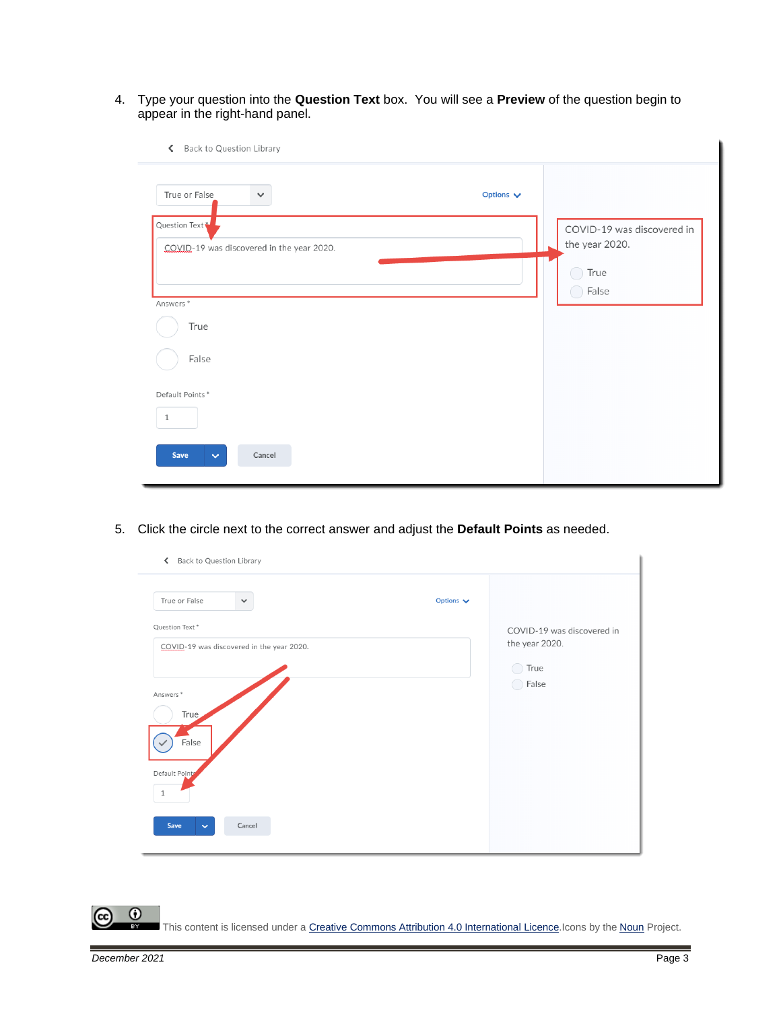4. Type your question into the **Question Text** box. You will see a **Preview** of the question begin to appear in the right-hand panel.

| Options $\blacktriangleright$                |  |
|----------------------------------------------|--|
| COVID-19 was discovered in<br>the year 2020. |  |
| True<br>$\bigcap$ False                      |  |
|                                              |  |
|                                              |  |
|                                              |  |
|                                              |  |

5. Click the circle next to the correct answer and adjust the **Default Points** as needed.

| Back to Question Library<br>$\overline{\phantom{a}}$        |                                                      |
|-------------------------------------------------------------|------------------------------------------------------|
| True or False<br>$\checkmark$                               | Options $\blacktriangleright$                        |
| Question Text*<br>COVID-19 was discovered in the year 2020. | COVID-19 was discovered in<br>the year 2020.<br>True |
| Answers <sup>*</sup><br>True<br>False                       | False                                                |
| Default Points<br>$\mathbf{1}$                              |                                                      |
| Save<br>Cancel<br>$\checkmark$                              |                                                      |

 $\odot$ This content is licensed under [a Creative Commons Attribution 4.0 International Licence.I](https://creativecommons.org/licenses/by/4.0/)cons by the [Noun](https://creativecommons.org/website-icons/) Project.